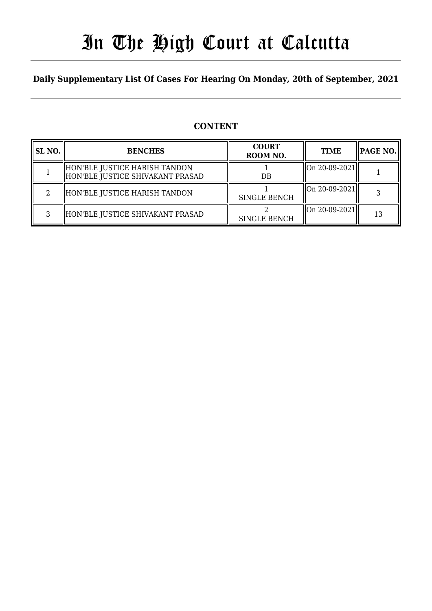# In The High Court at Calcutta

### **Daily Supplementary List Of Cases For Hearing On Monday, 20th of September, 2021**

### **CONTENT**

| SL <sub>NO.</sub> | <b>BENCHES</b>                                                    | <b>COURT</b><br>ROOM NO. | <b>TIME</b>   | $ $ PAGE NO. $\ $ |
|-------------------|-------------------------------------------------------------------|--------------------------|---------------|-------------------|
|                   | HON'BLE JUSTICE HARISH TANDON<br>HON'BLE JUSTICE SHIVAKANT PRASAD | DB                       | On 20-09-2021 |                   |
|                   | HON'BLE JUSTICE HARISH TANDON                                     | <b>SINGLE BENCH</b>      | On 20-09-2021 |                   |
|                   | HON'BLE JUSTICE SHIVAKANT PRASAD                                  | <b>SINGLE BENCH</b>      | On 20-09-2021 | 13                |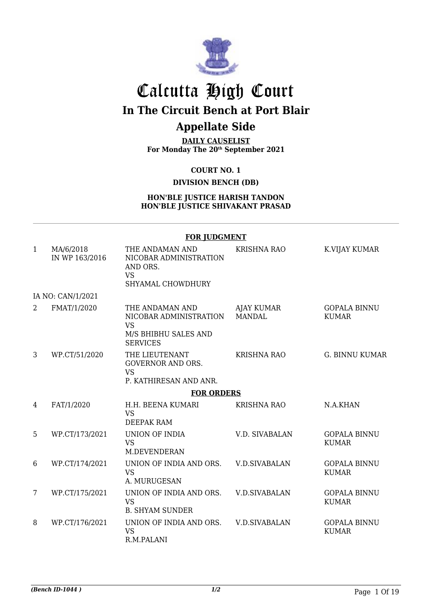

## Calcutta High Court **In The Circuit Bench at Port Blair**

## **Appellate Side**

**DAILY CAUSELIST For Monday The 20th September 2021**

**COURT NO. 1**

**DIVISION BENCH (DB)**

#### **HON'BLE JUSTICE HARISH TANDON HON'BLE JUSTICE SHIVAKANT PRASAD**

|              | <b>FOR JUDGMENT</b>         |                                                                                                   |                                    |                                     |  |  |
|--------------|-----------------------------|---------------------------------------------------------------------------------------------------|------------------------------------|-------------------------------------|--|--|
| $\mathbf{1}$ | MA/6/2018<br>IN WP 163/2016 | THE ANDAMAN AND<br>NICOBAR ADMINISTRATION<br>AND ORS.<br><b>VS</b><br>SHYAMAL CHOWDHURY           | <b>KRISHNA RAO</b>                 | K.VIJAY KUMAR                       |  |  |
|              | IA NO: CAN/1/2021           |                                                                                                   |                                    |                                     |  |  |
| 2            | FMAT/1/2020                 | THE ANDAMAN AND<br>NICOBAR ADMINISTRATION<br><b>VS</b><br>M/S BHIBHU SALES AND<br><b>SERVICES</b> | <b>AJAY KUMAR</b><br><b>MANDAL</b> | <b>GOPALA BINNU</b><br><b>KUMAR</b> |  |  |
| 3            | WP.CT/51/2020               | THE LIEUTENANT<br><b>GOVERNOR AND ORS.</b><br><b>VS</b><br>P. KATHIRESAN AND ANR.                 | <b>KRISHNA RAO</b>                 | <b>G. BINNU KUMAR</b>               |  |  |
|              |                             | <b>FOR ORDERS</b>                                                                                 |                                    |                                     |  |  |
| 4            | FAT/1/2020                  | H.H. BEENA KUMARI<br><b>VS</b><br>DEEPAK RAM                                                      | <b>KRISHNA RAO</b>                 | N.A.KHAN                            |  |  |
| 5            | WP.CT/173/2021              | <b>UNION OF INDIA</b><br><b>VS</b><br><b>M.DEVENDERAN</b>                                         | <b>V.D. SIVABALAN</b>              | <b>GOPALA BINNU</b><br><b>KUMAR</b> |  |  |
| 6            | WP.CT/174/2021              | UNION OF INDIA AND ORS.<br><b>VS</b><br>A. MURUGESAN                                              | <b>V.D.SIVABALAN</b>               | <b>GOPALA BINNU</b><br><b>KUMAR</b> |  |  |
| 7            | WP.CT/175/2021              | UNION OF INDIA AND ORS.<br><b>VS</b><br><b>B. SHYAM SUNDER</b>                                    | <b>V.D.SIVABALAN</b>               | <b>GOPALA BINNU</b><br><b>KUMAR</b> |  |  |
| 8            | WP.CT/176/2021              | UNION OF INDIA AND ORS.<br><b>VS</b><br>R.M.PALANI                                                | <b>V.D.SIVABALAN</b>               | <b>GOPALA BINNU</b><br><b>KUMAR</b> |  |  |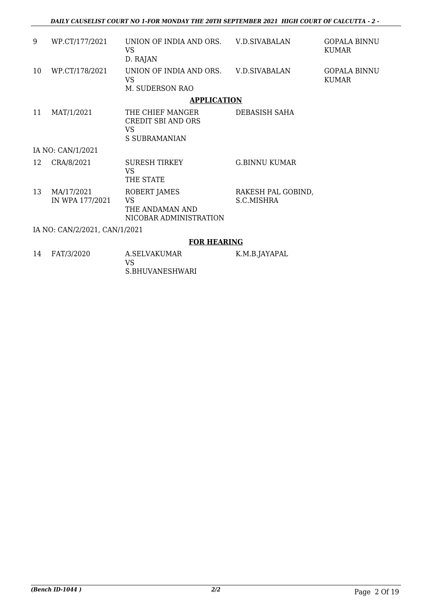*DAILY CAUSELIST COURT NO 1-FOR MONDAY THE 20TH SEPTEMBER 2021 HIGH COURT OF CALCUTTA - 2 -* 

| 9  | WP.CT/177/2021                | UNION OF INDIA AND ORS. V.D.SIVABALAN<br>VS.<br>D. RAJAN               |                                  | <b>GOPALA BINNU</b><br><b>KUMAR</b> |
|----|-------------------------------|------------------------------------------------------------------------|----------------------------------|-------------------------------------|
| 10 | WP.CT/178/2021                | UNION OF INDIA AND ORS. V.D.SIVABALAN<br>VS.<br>M. SUDERSON RAO        |                                  | <b>GOPALA BINNU</b><br><b>KUMAR</b> |
|    |                               | <b>APPLICATION</b>                                                     |                                  |                                     |
| 11 | MAT/1/2021                    | THE CHIEF MANGER<br>CREDIT SBI AND ORS<br>VS.<br><b>S SUBRAMANIAN</b>  | DEBASISH SAHA                    |                                     |
|    | IA NO: CAN/1/2021             |                                                                        |                                  |                                     |
| 12 | CRA/8/2021                    | <b>SURESH TIRKEY</b><br>VS.<br>THE STATE                               | <b>G.BINNU KUMAR</b>             |                                     |
| 13 | MA/17/2021<br>IN WPA 177/2021 | ROBERT JAMES<br><b>VS</b><br>THE ANDAMAN AND<br>NICOBAR ADMINISTRATION | RAKESH PAL GOBIND,<br>S.C.MISHRA |                                     |
|    | IA NO: CAN/2/2021, CAN/1/2021 |                                                                        |                                  |                                     |
|    |                               | <b>FOR HEARING</b>                                                     |                                  |                                     |

14 FAT/3/2020 A.SELVAKUMAR VS S.BHUVANESHWARI K.M.B.JAYAPAL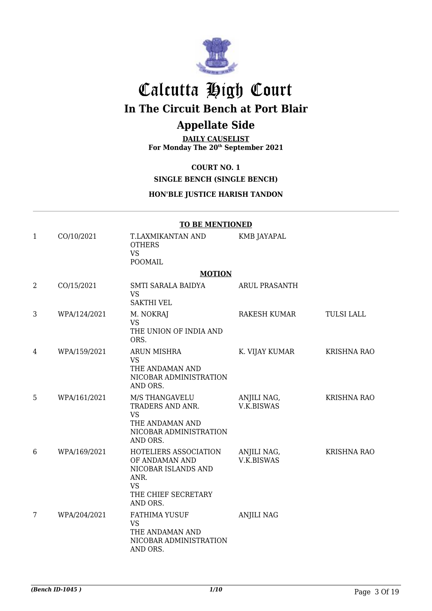

## Calcutta High Court

**In The Circuit Bench at Port Blair**

## **Appellate Side**

**DAILY CAUSELIST For Monday The 20th September 2021**

#### **COURT NO. 1**

**SINGLE BENCH (SINGLE BENCH)**

#### **HON'BLE JUSTICE HARISH TANDON**

|                | <b>TO BE MENTIONED</b> |                                                                                                                        |                                  |                    |  |
|----------------|------------------------|------------------------------------------------------------------------------------------------------------------------|----------------------------------|--------------------|--|
| $\mathbf{1}$   | CO/10/2021             | T.LAXMIKANTAN AND<br><b>OTHERS</b><br><b>VS</b><br><b>POOMAIL</b>                                                      | <b>KMB JAYAPAL</b>               |                    |  |
|                |                        | <b>MOTION</b>                                                                                                          |                                  |                    |  |
| $\overline{2}$ | CO/15/2021             | SMTI SARALA BAIDYA<br><b>VS</b><br><b>SAKTHI VEL</b>                                                                   | <b>ARUL PRASANTH</b>             |                    |  |
| 3              | WPA/124/2021           | M. NOKRAJ<br><b>VS</b><br>THE UNION OF INDIA AND<br>ORS.                                                               | RAKESH KUMAR                     | <b>TULSI LALL</b>  |  |
| 4              | WPA/159/2021           | ARUN MISHRA<br><b>VS</b><br>THE ANDAMAN AND<br>NICOBAR ADMINISTRATION<br>AND ORS.                                      | K. VIJAY KUMAR                   | <b>KRISHNA RAO</b> |  |
| 5              | WPA/161/2021           | M/S THANGAVELU<br>TRADERS AND ANR.<br><b>VS</b><br>THE ANDAMAN AND<br>NICOBAR ADMINISTRATION<br>AND ORS.               | ANJILI NAG,<br>V.K.BISWAS        | <b>KRISHNA RAO</b> |  |
| 6              | WPA/169/2021           | HOTELIERS ASSOCIATION<br>OF ANDAMAN AND<br>NICOBAR ISLANDS AND<br>ANR.<br><b>VS</b><br>THE CHIEF SECRETARY<br>AND ORS. | ANJILI NAG,<br><b>V.K.BISWAS</b> | <b>KRISHNA RAO</b> |  |
| 7              | WPA/204/2021           | <b>FATHIMA YUSUF</b><br><b>VS</b><br>THE ANDAMAN AND<br>NICOBAR ADMINISTRATION<br>AND ORS.                             | <b>ANJILI NAG</b>                |                    |  |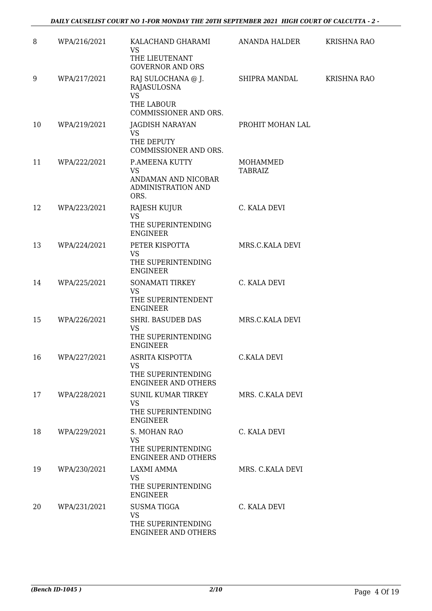#### *DAILY CAUSELIST COURT NO 1-FOR MONDAY THE 20TH SEPTEMBER 2021 HIGH COURT OF CALCUTTA - 2 -*

| 8  | WPA/216/2021 | KALACHAND GHARAMI<br>VS                                                 | ANANDA HALDER              | <b>KRISHNA RAO</b> |
|----|--------------|-------------------------------------------------------------------------|----------------------------|--------------------|
|    |              | THE LIEUTENANT<br><b>GOVERNOR AND ORS</b>                               |                            |                    |
| 9  | WPA/217/2021 | RAJ SULOCHANA @ J.<br>RAJASULOSNA<br><b>VS</b>                          | SHIPRA MANDAL              | <b>KRISHNA RAO</b> |
|    |              | THE LABOUR<br>COMMISSIONER AND ORS.                                     |                            |                    |
| 10 | WPA/219/2021 | <b>JAGDISH NARAYAN</b><br><b>VS</b>                                     | PROHIT MOHAN LAL           |                    |
|    |              | THE DEPUTY<br>COMMISSIONER AND ORS.                                     |                            |                    |
| 11 | WPA/222/2021 | P.AMEENA KUTTY<br><b>VS</b>                                             | MOHAMMED<br><b>TABRAIZ</b> |                    |
|    |              | ANDAMAN AND NICOBAR<br>ADMINISTRATION AND<br>ORS.                       |                            |                    |
| 12 | WPA/223/2021 | RAJESH KUJUR<br><b>VS</b>                                               | C. KALA DEVI               |                    |
|    |              | THE SUPERINTENDING<br><b>ENGINEER</b>                                   |                            |                    |
| 13 | WPA/224/2021 | PETER KISPOTTA<br><b>VS</b>                                             | MRS.C.KALA DEVI            |                    |
|    |              | THE SUPERINTENDING<br><b>ENGINEER</b>                                   |                            |                    |
| 14 | WPA/225/2021 | SONAMATI TIRKEY<br><b>VS</b>                                            | C. KALA DEVI               |                    |
|    |              | THE SUPERINTENDENT<br><b>ENGINEER</b>                                   |                            |                    |
| 15 | WPA/226/2021 | <b>SHRI. BASUDEB DAS</b><br>VS<br>THE SUPERINTENDING<br><b>ENGINEER</b> | MRS.C.KALA DEVI            |                    |
| 16 | WPA/227/2021 | ASRITA KISPOTTA<br><b>VS</b>                                            | C.KALA DEVI                |                    |
|    |              | THE SUPERINTENDING<br><b>ENGINEER AND OTHERS</b>                        |                            |                    |
| 17 | WPA/228/2021 | <b>SUNIL KUMAR TIRKEY</b><br><b>VS</b>                                  | MRS. C.KALA DEVI           |                    |
|    |              | THE SUPERINTENDING<br><b>ENGINEER</b>                                   |                            |                    |
| 18 | WPA/229/2021 | S. MOHAN RAO<br><b>VS</b>                                               | C. KALA DEVI               |                    |
|    |              | THE SUPERINTENDING<br><b>ENGINEER AND OTHERS</b>                        |                            |                    |
| 19 | WPA/230/2021 | LAXMI AMMA<br><b>VS</b>                                                 | MRS. C.KALA DEVI           |                    |
|    |              | THE SUPERINTENDING<br><b>ENGINEER</b>                                   |                            |                    |
| 20 | WPA/231/2021 | <b>SUSMATIGGA</b><br><b>VS</b>                                          | C. KALA DEVI               |                    |
|    |              | THE SUPERINTENDING<br><b>ENGINEER AND OTHERS</b>                        |                            |                    |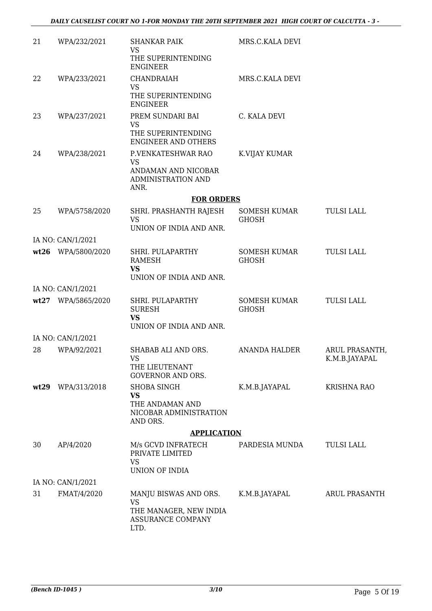| 21   | WPA/232/2021       | <b>SHANKAR PAIK</b><br><b>VS</b><br>THE SUPERINTENDING<br><b>ENGINEER</b>                 | MRS.C.KALA DEVI                     |                                 |
|------|--------------------|-------------------------------------------------------------------------------------------|-------------------------------------|---------------------------------|
| 22   | WPA/233/2021       | CHANDRAIAH<br><b>VS</b><br>THE SUPERINTENDING<br><b>ENGINEER</b>                          | MRS.C.KALA DEVI                     |                                 |
| 23   | WPA/237/2021       | PREM SUNDARI BAI<br><b>VS</b><br>THE SUPERINTENDING<br><b>ENGINEER AND OTHERS</b>         | C. KALA DEVI                        |                                 |
| 24   | WPA/238/2021       | P.VENKATESHWAR RAO<br><b>VS</b><br>ANDAMAN AND NICOBAR<br>ADMINISTRATION AND<br>ANR.      | K.VIJAY KUMAR                       |                                 |
|      |                    | <b>FOR ORDERS</b>                                                                         |                                     |                                 |
| 25   | WPA/5758/2020      | SHRI. PRASHANTH RAJESH<br><b>VS</b><br>UNION OF INDIA AND ANR.                            | SOMESH KUMAR<br><b>GHOSH</b>        | <b>TULSI LALL</b>               |
|      | IA NO: CAN/1/2021  |                                                                                           |                                     |                                 |
|      | wt26 WPA/5800/2020 | SHRI. PULAPARTHY<br><b>RAMESH</b><br><b>VS</b><br>UNION OF INDIA AND ANR.                 | <b>SOMESH KUMAR</b><br><b>GHOSH</b> | TULSI LALL                      |
|      | IA NO: CAN/1/2021  |                                                                                           |                                     |                                 |
|      | wt27 WPA/5865/2020 | SHRI. PULAPARTHY<br><b>SURESH</b><br><b>VS</b><br>UNION OF INDIA AND ANR.                 | SOMESH KUMAR<br><b>GHOSH</b>        | TULSI LALL                      |
|      | IA NO: CAN/1/2021  |                                                                                           |                                     |                                 |
| 28   | WPA/92/2021        | SHABAB ALI AND ORS.<br><b>VS</b><br>THE LIEUTENANT<br><b>GOVERNOR AND ORS.</b>            | <b>ANANDA HALDER</b>                | ARUL PRASANTH,<br>K.M.B.JAYAPAL |
| wt29 | WPA/313/2018       | SHOBA SINGH<br><b>VS</b><br>THE ANDAMAN AND<br>NICOBAR ADMINISTRATION<br>AND ORS.         | K.M.B.JAYAPAL                       | <b>KRISHNA RAO</b>              |
|      |                    | <b>APPLICATION</b>                                                                        |                                     |                                 |
| 30   | AP/4/2020          | M/s GCVD INFRATECH<br>PRIVATE LIMITED<br><b>VS</b><br>UNION OF INDIA                      | PARDESIA MUNDA                      | <b>TULSI LALL</b>               |
|      | IA NO: CAN/1/2021  |                                                                                           |                                     |                                 |
| 31   | FMAT/4/2020        | MANJU BISWAS AND ORS.<br><b>VS</b><br>THE MANAGER, NEW INDIA<br>ASSURANCE COMPANY<br>LTD. | K.M.B.JAYAPAL                       | <b>ARUL PRASANTH</b>            |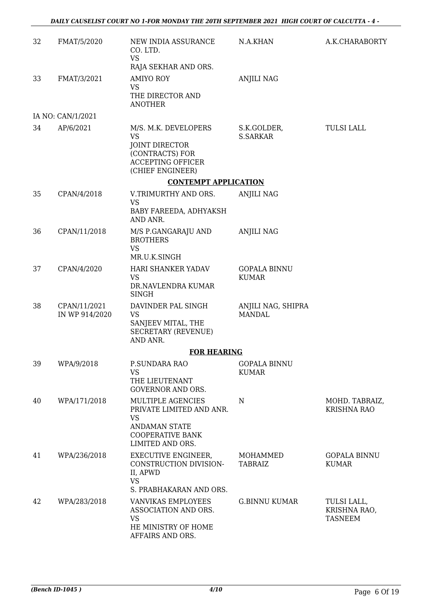| 32 | FMAT/5/2020                    | NEW INDIA ASSURANCE<br>CO. LTD.<br><b>VS</b>                                                                                      | N.A.KHAN                            | A.K.CHARABORTY                                |
|----|--------------------------------|-----------------------------------------------------------------------------------------------------------------------------------|-------------------------------------|-----------------------------------------------|
| 33 | FMAT/3/2021                    | RAJA SEKHAR AND ORS.<br><b>AMIYO ROY</b><br><b>VS</b><br>THE DIRECTOR AND<br><b>ANOTHER</b>                                       | <b>ANJILI NAG</b>                   |                                               |
|    | IA NO: CAN/1/2021              |                                                                                                                                   |                                     |                                               |
| 34 | AP/6/2021                      | M/S. M.K. DEVELOPERS<br><b>VS</b><br>JOINT DIRECTOR<br>(CONTRACTS) FOR<br><b>ACCEPTING OFFICER</b><br>(CHIEF ENGINEER)            | S.K.GOLDER,<br><b>S.SARKAR</b>      | <b>TULSI LALL</b>                             |
|    |                                | <b>CONTEMPT APPLICATION</b>                                                                                                       |                                     |                                               |
| 35 | CPAN/4/2018                    | V.TRIMURTHY AND ORS.<br><b>VS</b><br>BABY FAREEDA, ADHYAKSH<br>AND ANR.                                                           | <b>ANJILI NAG</b>                   |                                               |
| 36 | CPAN/11/2018                   | M/S P.GANGARAJU AND<br><b>BROTHERS</b><br><b>VS</b><br>MR.U.K.SINGH                                                               | <b>ANJILI NAG</b>                   |                                               |
| 37 | CPAN/4/2020                    | HARI SHANKER YADAV<br><b>VS</b><br>DR.NAVLENDRA KUMAR<br><b>SINGH</b>                                                             | <b>GOPALA BINNU</b><br><b>KUMAR</b> |                                               |
| 38 | CPAN/11/2021<br>IN WP 914/2020 | DAVINDER PAL SINGH<br><b>VS</b><br>SANJEEV MITAL, THE<br><b>SECRETARY (REVENUE)</b><br>AND ANR.                                   | ANJILI NAG, SHIPRA<br><b>MANDAL</b> |                                               |
|    |                                | <b>FOR HEARING</b>                                                                                                                |                                     |                                               |
| 39 | WPA/9/2018                     | P.SUNDARA RAO<br><b>VS</b><br>THE LIEUTENANT<br><b>GOVERNOR AND ORS.</b>                                                          | <b>GOPALA BINNU</b><br><b>KUMAR</b> |                                               |
| 40 | WPA/171/2018                   | MULTIPLE AGENCIES<br>PRIVATE LIMITED AND ANR.<br><b>VS</b><br><b>ANDAMAN STATE</b><br><b>COOPERATIVE BANK</b><br>LIMITED AND ORS. | $\mathbf N$                         | MOHD. TABRAIZ,<br><b>KRISHNA RAO</b>          |
| 41 | WPA/236/2018                   | <b>EXECUTIVE ENGINEER,</b><br>CONSTRUCTION DIVISION-<br>II, APWD<br><b>VS</b><br>S. PRABHAKARAN AND ORS.                          | MOHAMMED<br>TABRAIZ                 | <b>GOPALA BINNU</b><br><b>KUMAR</b>           |
| 42 | WPA/283/2018                   | VANVIKAS EMPLOYEES<br>ASSOCIATION AND ORS.<br>VS.<br>HE MINISTRY OF HOME<br>AFFAIRS AND ORS.                                      | <b>G.BINNU KUMAR</b>                | TULSI LALL,<br>KRISHNA RAO,<br><b>TASNEEM</b> |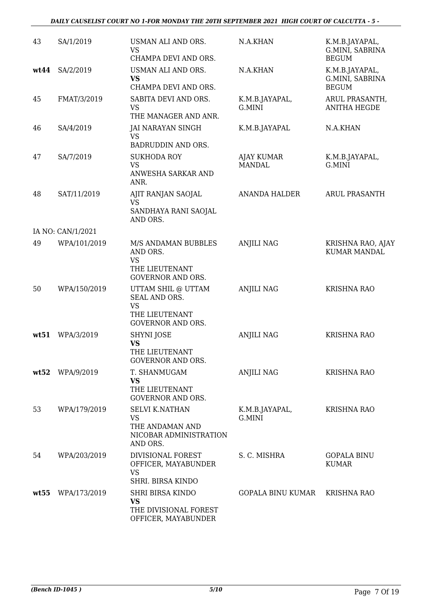#### *DAILY CAUSELIST COURT NO 1-FOR MONDAY THE 20TH SEPTEMBER 2021 HIGH COURT OF CALCUTTA - 5 -*

| 43   | SA/1/2019         | USMAN ALI AND ORS.<br><b>VS</b><br>CHAMPA DEVI AND ORS.                                        | N.A.KHAN                    | K.M.B.JAYAPAL,<br>G.MINI, SABRINA<br><b>BEGUM</b> |
|------|-------------------|------------------------------------------------------------------------------------------------|-----------------------------|---------------------------------------------------|
| wt44 | SA/2/2019         | USMAN ALI AND ORS.<br><b>VS</b><br>CHAMPA DEVI AND ORS.                                        | N.A.KHAN                    | K.M.B.JAYAPAL,<br>G.MINI, SABRINA<br><b>BEGUM</b> |
| 45   | FMAT/3/2019       | SABITA DEVI AND ORS.<br>VS<br>THE MANAGER AND ANR.                                             | K.M.B.JAYAPAL,<br>G.MINI    | ARUL PRASANTH,<br><b>ANITHA HEGDE</b>             |
| 46   | SA/4/2019         | JAI NARAYAN SINGH<br>VS<br>BADRUDDIN AND ORS.                                                  | K.M.B.JAYAPAL               | N.A.KHAN                                          |
| 47   | SA/7/2019         | <b>SUKHODA ROY</b><br><b>VS</b><br>ANWESHA SARKAR AND<br>ANR.                                  | AJAY KUMAR<br><b>MANDAL</b> | K.M.B.JAYAPAL,<br>G.MINI                          |
| 48   | SAT/11/2019       | AJIT RANJAN SAOJAL<br><b>VS</b><br>SANDHAYA RANI SAOJAL<br>AND ORS.                            | ANANDA HALDER               | <b>ARUL PRASANTH</b>                              |
|      | IA NO: CAN/1/2021 |                                                                                                |                             |                                                   |
| 49   | WPA/101/2019      | M/S ANDAMAN BUBBLES<br>AND ORS.<br>VS<br>THE LIEUTENANT<br><b>GOVERNOR AND ORS.</b>            | <b>ANJILI NAG</b>           | KRISHNA RAO, AJAY<br><b>KUMAR MANDAL</b>          |
| 50   | WPA/150/2019      | UTTAM SHIL @ UTTAM<br>SEAL AND ORS.<br><b>VS</b><br>THE LIEUTENANT<br><b>GOVERNOR AND ORS.</b> | <b>ANJILI NAG</b>           | <b>KRISHNA RAO</b>                                |
| wt51 | WPA/3/2019        | SHYNI JOSE<br><b>VS</b><br>THE LIEUTENANT<br>GOVERNOR AND ORS.                                 | ANJILI NAG                  | <b>KRISHNA RAO</b>                                |
| wt52 | WPA/9/2019        | T. SHANMUGAM<br><b>VS</b><br>THE LIEUTENANT<br><b>GOVERNOR AND ORS.</b>                        | <b>ANJILI NAG</b>           | <b>KRISHNA RAO</b>                                |
| 53   | WPA/179/2019      | <b>SELVI K.NATHAN</b><br><b>VS</b><br>THE ANDAMAN AND<br>NICOBAR ADMINISTRATION<br>AND ORS.    | K.M.B.JAYAPAL,<br>G.MINI    | <b>KRISHNA RAO</b>                                |
| 54   | WPA/203/2019      | DIVISIONAL FOREST<br>OFFICER, MAYABUNDER<br><b>VS</b><br>SHRI. BIRSA KINDO                     | S. C. MISHRA                | <b>GOPALA BINU</b><br><b>KUMAR</b>                |
| wt55 | WPA/173/2019      | SHRI BIRSA KINDO<br><b>VS</b><br>THE DIVISIONAL FOREST<br>OFFICER, MAYABUNDER                  | <b>GOPALA BINU KUMAR</b>    | <b>KRISHNA RAO</b>                                |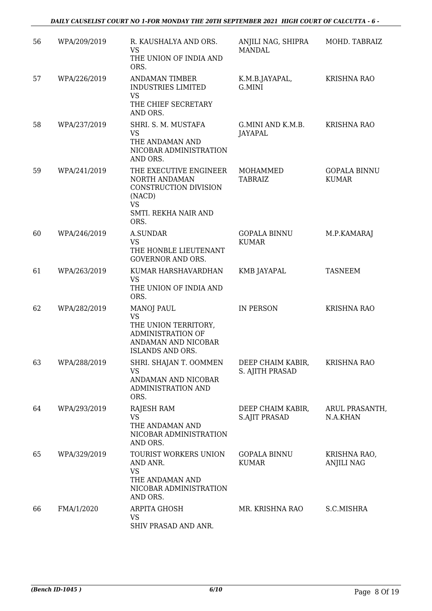| 56 | WPA/209/2019 | R. KAUSHALYA AND ORS.<br><b>VS</b><br>THE UNION OF INDIA AND<br>ORS.                                                                 | ANJILI NAG, SHIPRA<br><b>MANDAL</b>       | MOHD. TABRAIZ                       |
|----|--------------|--------------------------------------------------------------------------------------------------------------------------------------|-------------------------------------------|-------------------------------------|
| 57 | WPA/226/2019 | <b>ANDAMAN TIMBER</b><br><b>INDUSTRIES LIMITED</b><br><b>VS</b><br>THE CHIEF SECRETARY                                               | K.M.B.JAYAPAL,<br>G.MINI                  | <b>KRISHNA RAO</b>                  |
| 58 | WPA/237/2019 | AND ORS.<br>SHRI. S. M. MUSTAFA<br><b>VS</b><br>THE ANDAMAN AND<br>NICOBAR ADMINISTRATION<br>AND ORS.                                | G.MINI AND K.M.B.<br>JAYAPAL              | <b>KRISHNA RAO</b>                  |
| 59 | WPA/241/2019 | THE EXECUTIVE ENGINEER<br>NORTH ANDAMAN<br>CONSTRUCTION DIVISION<br>(NACD)<br><b>VS</b><br>SMTI. REKHA NAIR AND<br>ORS.              | MOHAMMED<br><b>TABRAIZ</b>                | <b>GOPALA BINNU</b><br><b>KUMAR</b> |
| 60 | WPA/246/2019 | A.SUNDAR<br><b>VS</b><br>THE HONBLE LIEUTENANT<br><b>GOVERNOR AND ORS.</b>                                                           | <b>GOPALA BINNU</b><br><b>KUMAR</b>       | M.P.KAMARAJ                         |
| 61 | WPA/263/2019 | KUMAR HARSHAVARDHAN<br><b>VS</b><br>THE UNION OF INDIA AND<br>ORS.                                                                   | KMB JAYAPAL                               | <b>TASNEEM</b>                      |
| 62 | WPA/282/2019 | <b>MANOJ PAUL</b><br><b>VS</b><br>THE UNION TERRITORY,<br><b>ADMINISTRATION OF</b><br>ANDAMAN AND NICOBAR<br><b>ISLANDS AND ORS.</b> | IN PERSON                                 | <b>KRISHNA RAO</b>                  |
| 63 | WPA/288/2019 | SHRI. SHAJAN T. OOMMEN<br><b>VS</b><br>ANDAMAN AND NICOBAR<br>ADMINISTRATION AND<br>ORS.                                             | DEEP CHAIM KABIR,<br>S. AJITH PRASAD      | <b>KRISHNA RAO</b>                  |
| 64 | WPA/293/2019 | RAJESH RAM<br><b>VS</b><br>THE ANDAMAN AND<br>NICOBAR ADMINISTRATION<br>AND ORS.                                                     | DEEP CHAIM KABIR,<br><b>S.AJIT PRASAD</b> | ARUL PRASANTH,<br>N.A.KHAN          |
| 65 | WPA/329/2019 | TOURIST WORKERS UNION<br>AND ANR.<br><b>VS</b><br>THE ANDAMAN AND<br>NICOBAR ADMINISTRATION<br>AND ORS.                              | <b>GOPALA BINNU</b><br><b>KUMAR</b>       | KRISHNA RAO,<br><b>ANJILI NAG</b>   |
| 66 | FMA/1/2020   | ARPITA GHOSH<br><b>VS</b><br>SHIV PRASAD AND ANR.                                                                                    | MR. KRISHNA RAO                           | S.C.MISHRA                          |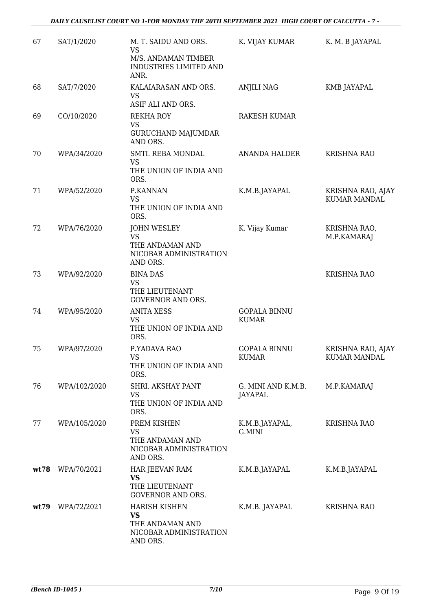| 67   | SAT/1/2020       | M. T. SAIDU AND ORS.<br><b>VS</b><br>M/S. ANDAMAN TIMBER<br>INDUSTRIES LIMITED AND<br>ANR. | K. VIJAY KUMAR                      | K. M. B JAYAPAL                          |
|------|------------------|--------------------------------------------------------------------------------------------|-------------------------------------|------------------------------------------|
| 68   | SAT/7/2020       | KALAIARASAN AND ORS.<br><b>VS</b><br>ASIF ALI AND ORS.                                     | <b>ANJILI NAG</b>                   | KMB JAYAPAL                              |
| 69   | CO/10/2020       | <b>REKHA ROY</b><br><b>VS</b><br><b>GURUCHAND MAJUMDAR</b><br>AND ORS.                     | <b>RAKESH KUMAR</b>                 |                                          |
| 70   | WPA/34/2020      | SMTI. REBA MONDAL<br><b>VS</b><br>THE UNION OF INDIA AND<br>ORS.                           | ANANDA HALDER                       | <b>KRISHNA RAO</b>                       |
| 71   | WPA/52/2020      | P.KANNAN<br><b>VS</b><br>THE UNION OF INDIA AND<br>ORS.                                    | K.M.B.JAYAPAL                       | KRISHNA RAO, AJAY<br><b>KUMAR MANDAL</b> |
| 72   | WPA/76/2020      | <b>JOHN WESLEY</b><br><b>VS</b><br>THE ANDAMAN AND<br>NICOBAR ADMINISTRATION<br>AND ORS.   | K. Vijay Kumar                      | KRISHNA RAO,<br>M.P.KAMARAJ              |
| 73   | WPA/92/2020      | <b>BINA DAS</b><br><b>VS</b><br>THE LIEUTENANT<br><b>GOVERNOR AND ORS.</b>                 |                                     | <b>KRISHNA RAO</b>                       |
| 74   | WPA/95/2020      | <b>ANITA XESS</b><br><b>VS</b><br>THE UNION OF INDIA AND<br>ORS.                           | <b>GOPALA BINNU</b><br><b>KUMAR</b> |                                          |
| 75   | WPA/97/2020      | P.YADAVA RAO<br><b>VS</b><br>THE UNION OF INDIA AND<br>ORS.                                | <b>GOPALA BINNU</b><br><b>KUMAR</b> | KRISHNA RAO, AJAY<br>KUMAR MANDAL        |
| 76   | WPA/102/2020     | SHRI. AKSHAY PANT<br>VS<br>THE UNION OF INDIA AND<br>ORS.                                  | G. MINI AND K.M.B.<br>JAYAPAL       | M.P.KAMARAJ                              |
| 77   | WPA/105/2020     | PREM KISHEN<br><b>VS</b><br>THE ANDAMAN AND<br>NICOBAR ADMINISTRATION<br>AND ORS.          | K.M.B.JAYAPAL,<br>G.MINI            | <b>KRISHNA RAO</b>                       |
|      | wt78 WPA/70/2021 | HAR JEEVAN RAM<br><b>VS</b><br>THE LIEUTENANT<br><b>GOVERNOR AND ORS.</b>                  | K.M.B.JAYAPAL                       | K.M.B.JAYAPAL                            |
| wt79 | WPA/72/2021      | <b>HARISH KISHEN</b><br><b>VS</b><br>THE ANDAMAN AND<br>NICOBAR ADMINISTRATION<br>AND ORS. | K.M.B. JAYAPAL                      | <b>KRISHNA RAO</b>                       |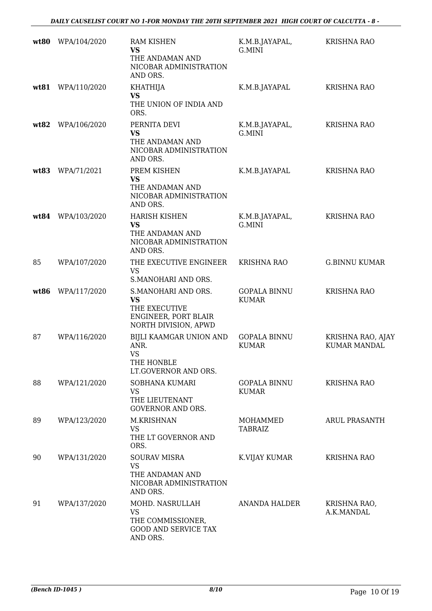| wt80 | WPA/104/2020 | <b>RAM KISHEN</b><br>VS<br>THE ANDAMAN AND<br>NICOBAR ADMINISTRATION<br>AND ORS.             | K.M.B.JAYAPAL,<br>G.MINI            | <b>KRISHNA RAO</b>                       |
|------|--------------|----------------------------------------------------------------------------------------------|-------------------------------------|------------------------------------------|
| wt81 | WPA/110/2020 | <b>KHATHIJA</b><br><b>VS</b><br>THE UNION OF INDIA AND<br>ORS.                               | K.M.B.JAYAPAL                       | <b>KRISHNA RAO</b>                       |
| wt82 | WPA/106/2020 | PERNITA DEVI<br><b>VS</b><br>THE ANDAMAN AND<br>NICOBAR ADMINISTRATION<br>AND ORS.           | K.M.B.JAYAPAL,<br>G.MINI            | <b>KRISHNA RAO</b>                       |
| wt83 | WPA/71/2021  | PREM KISHEN<br><b>VS</b><br>THE ANDAMAN AND<br>NICOBAR ADMINISTRATION<br>AND ORS.            | K.M.B.JAYAPAL                       | <b>KRISHNA RAO</b>                       |
| wt84 | WPA/103/2020 | <b>HARISH KISHEN</b><br><b>VS</b><br>THE ANDAMAN AND<br>NICOBAR ADMINISTRATION<br>AND ORS.   | K.M.B.JAYAPAL,<br>G.MINI            | <b>KRISHNA RAO</b>                       |
| 85   | WPA/107/2020 | THE EXECUTIVE ENGINEER<br><b>VS</b><br>S.MANOHARI AND ORS.                                   | <b>KRISHNA RAO</b>                  | <b>G.BINNU KUMAR</b>                     |
| wt86 | WPA/117/2020 | S.MANOHARI AND ORS.<br>VS<br>THE EXECUTIVE<br>ENGINEER, PORT BLAIR<br>NORTH DIVISION, APWD   | <b>GOPALA BINNU</b><br><b>KUMAR</b> | <b>KRISHNA RAO</b>                       |
| 87   | WPA/116/2020 | BIJLI KAAMGAR UNION AND<br>ANR.<br><b>VS</b><br>THE HONBLE<br>LT.GOVERNOR AND ORS.           | <b>GOPALA BINNU</b><br><b>KUMAR</b> | KRISHNA RAO, AJAY<br><b>KUMAR MANDAL</b> |
| 88   | WPA/121/2020 | SOBHANA KUMARI<br>VS<br>THE LIEUTENANT<br><b>GOVERNOR AND ORS.</b>                           | <b>GOPALA BINNU</b><br><b>KUMAR</b> | <b>KRISHNA RAO</b>                       |
| 89   | WPA/123/2020 | M.KRISHNAN<br><b>VS</b><br>THE LT GOVERNOR AND<br>ORS.                                       | MOHAMMED<br><b>TABRAIZ</b>          | <b>ARUL PRASANTH</b>                     |
| 90   | WPA/131/2020 | <b>SOURAV MISRA</b><br><b>VS</b><br>THE ANDAMAN AND<br>NICOBAR ADMINISTRATION<br>AND ORS.    | K.VIJAY KUMAR                       | <b>KRISHNA RAO</b>                       |
| 91   | WPA/137/2020 | MOHD. NASRULLAH<br><b>VS</b><br>THE COMMISSIONER,<br><b>GOOD AND SERVICE TAX</b><br>AND ORS. | <b>ANANDA HALDER</b>                | KRISHNA RAO,<br>A.K.MANDAL               |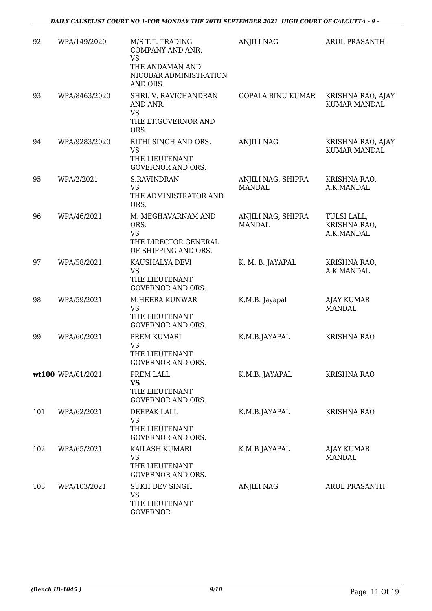| 92  | WPA/149/2020      | M/S T.T. TRADING<br>COMPANY AND ANR.<br><b>VS</b><br>THE ANDAMAN AND<br>NICOBAR ADMINISTRATION<br>AND ORS. | <b>ANJILI NAG</b>                   | <b>ARUL PRASANTH</b>                      |
|-----|-------------------|------------------------------------------------------------------------------------------------------------|-------------------------------------|-------------------------------------------|
| 93  | WPA/8463/2020     | SHRI. V. RAVICHANDRAN<br>AND ANR.<br>VS<br>THE LT.GOVERNOR AND<br>ORS.                                     | <b>GOPALA BINU KUMAR</b>            | KRISHNA RAO, AJAY<br><b>KUMAR MANDAL</b>  |
| 94  | WPA/9283/2020     | RITHI SINGH AND ORS.<br><b>VS</b><br>THE LIEUTENANT<br><b>GOVERNOR AND ORS.</b>                            | <b>ANJILI NAG</b>                   | KRISHNA RAO, AJAY<br><b>KUMAR MANDAL</b>  |
| 95  | WPA/2/2021        | <b>S.RAVINDRAN</b><br><b>VS</b><br>THE ADMINISTRATOR AND<br>ORS.                                           | ANJILI NAG, SHIPRA<br><b>MANDAL</b> | KRISHNA RAO,<br>A.K.MANDAL                |
| 96  | WPA/46/2021       | M. MEGHAVARNAM AND<br>ORS.<br><b>VS</b><br>THE DIRECTOR GENERAL<br>OF SHIPPING AND ORS.                    | ANJILI NAG, SHIPRA<br><b>MANDAL</b> | TULSI LALL,<br>KRISHNA RAO,<br>A.K.MANDAL |
| 97  | WPA/58/2021       | KAUSHALYA DEVI<br><b>VS</b><br>THE LIEUTENANT<br><b>GOVERNOR AND ORS.</b>                                  | K. M. B. JAYAPAL                    | KRISHNA RAO,<br>A.K.MANDAL                |
| 98  | WPA/59/2021       | M.HEERA KUNWAR<br><b>VS</b><br>THE LIEUTENANT<br><b>GOVERNOR AND ORS.</b>                                  | K.M.B. Jayapal                      | <b>AJAY KUMAR</b><br><b>MANDAL</b>        |
| 99  | WPA/60/2021       | PREM KUMARI<br><b>VS</b><br>THE LIEUTENANT<br><b>GOVERNOR AND ORS.</b>                                     | K.M.B.JAYAPAL                       | <b>KRISHNA RAO</b>                        |
|     | wt100 WPA/61/2021 | PREM LALL<br><b>VS</b><br>THE LIEUTENANT<br><b>GOVERNOR AND ORS.</b>                                       | K.M.B. JAYAPAL                      | <b>KRISHNA RAO</b>                        |
| 101 | WPA/62/2021       | DEEPAK LALL<br>VS<br>THE LIEUTENANT<br><b>GOVERNOR AND ORS.</b>                                            | K.M.B.JAYAPAL                       | <b>KRISHNA RAO</b>                        |
| 102 | WPA/65/2021       | KAILASH KUMARI<br>VS<br>THE LIEUTENANT<br><b>GOVERNOR AND ORS.</b>                                         | K.M.B JAYAPAL                       | AJAY KUMAR<br><b>MANDAL</b>               |
| 103 | WPA/103/2021      | <b>SUKH DEV SINGH</b><br><b>VS</b><br>THE LIEUTENANT<br><b>GOVERNOR</b>                                    | ANJILI NAG                          | ARUL PRASANTH                             |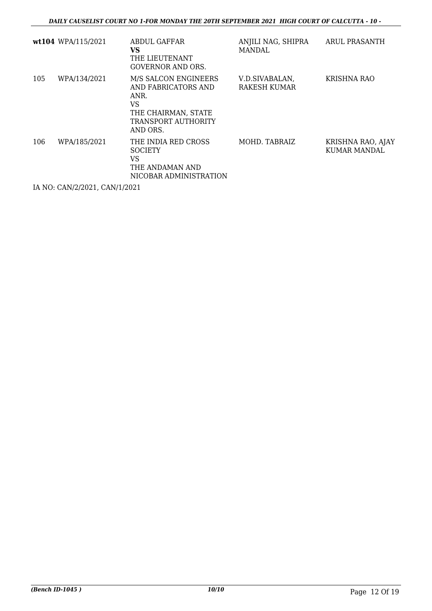|     | wt104 WPA/115/2021 | <b>ABDUL GAFFAR</b><br>VS<br>THE LIEUTENANT<br><b>GOVERNOR AND ORS.</b>                                             | ANJILI NAG, SHIPRA<br>MANDAL.         | ARUL PRASANTH                            |
|-----|--------------------|---------------------------------------------------------------------------------------------------------------------|---------------------------------------|------------------------------------------|
| 105 | WPA/134/2021       | M/S SALCON ENGINEERS<br>AND FABRICATORS AND<br>ANR.<br>VS<br>THE CHAIRMAN, STATE<br>TRANSPORT AUTHORITY<br>AND ORS. | V.D.SIVABALAN,<br><b>RAKESH KUMAR</b> | KRISHNA RAO                              |
| 106 | WPA/185/2021       | THE INDIA RED CROSS<br><b>SOCIETY</b><br>VS<br>THE ANDAMAN AND<br>NICOBAR ADMINISTRATION                            | MOHD. TABRAIZ                         | KRISHNA RAO, AJAY<br><b>KUMAR MANDAL</b> |

IA NO: CAN/2/2021, CAN/1/2021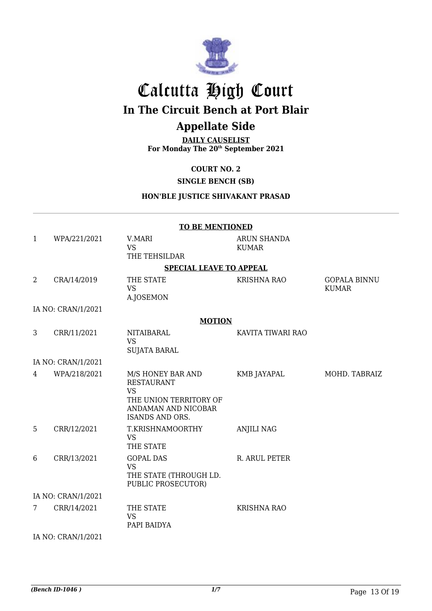

## Calcutta High Court **In The Circuit Bench at Port Blair**

## **Appellate Side**

**DAILY CAUSELIST For Monday The 20th September 2021**

**COURT NO. 2**

#### **SINGLE BENCH (SB)**

#### **HON'BLE JUSTICE SHIVAKANT PRASAD**

|                    | <b>TO BE MENTIONED</b> |                                                                                                                                |                             |                                     |  |  |
|--------------------|------------------------|--------------------------------------------------------------------------------------------------------------------------------|-----------------------------|-------------------------------------|--|--|
| $\mathbf{1}$       | WPA/221/2021           | V.MARI<br><b>VS</b><br>THE TEHSILDAR                                                                                           | ARUN SHANDA<br><b>KUMAR</b> |                                     |  |  |
|                    |                        | <b>SPECIAL LEAVE TO APPEAL</b>                                                                                                 |                             |                                     |  |  |
| 2                  | CRA/14/2019            | THE STATE<br><b>VS</b><br>A.JOSEMON                                                                                            | <b>KRISHNA RAO</b>          | <b>GOPALA BINNU</b><br><b>KUMAR</b> |  |  |
|                    | IA NO: CRAN/1/2021     |                                                                                                                                |                             |                                     |  |  |
|                    |                        | <b>MOTION</b>                                                                                                                  |                             |                                     |  |  |
| 3                  | CRR/11/2021            | <b>NITAIBARAL</b><br><b>VS</b><br><b>SUJATA BARAL</b>                                                                          | KAVITA TIWARI RAO           |                                     |  |  |
|                    | IA NO: CRAN/1/2021     |                                                                                                                                |                             |                                     |  |  |
| $\overline{4}$     | WPA/218/2021           | M/S HONEY BAR AND<br><b>RESTAURANT</b><br><b>VS</b><br>THE UNION TERRITORY OF<br>ANDAMAN AND NICOBAR<br><b>ISANDS AND ORS.</b> | <b>KMB JAYAPAL</b>          | MOHD. TABRAIZ                       |  |  |
| 5                  | CRR/12/2021            | T.KRISHNAMOORTHY<br><b>VS</b><br>THE STATE                                                                                     | <b>ANJILI NAG</b>           |                                     |  |  |
| 6                  | CRR/13/2021            | <b>GOPAL DAS</b><br><b>VS</b><br>THE STATE (THROUGH LD.<br>PUBLIC PROSECUTOR)                                                  | R. ARUL PETER               |                                     |  |  |
| IA NO: CRAN/1/2021 |                        |                                                                                                                                |                             |                                     |  |  |
| 7                  | CRR/14/2021            | THE STATE<br><b>VS</b><br>PAPI BAIDYA                                                                                          | <b>KRISHNA RAO</b>          |                                     |  |  |
|                    | IA NO: CRAN/1/2021     |                                                                                                                                |                             |                                     |  |  |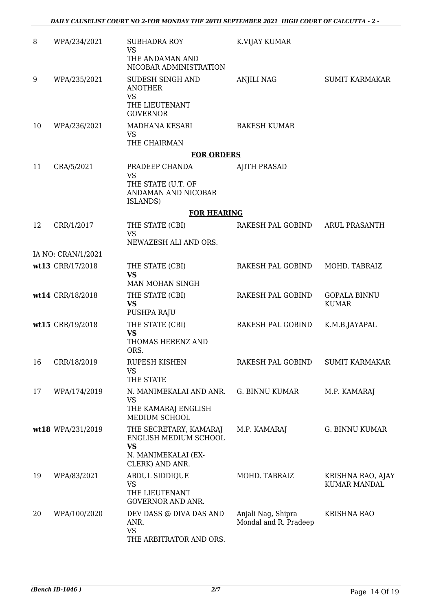| 8  | WPA/234/2021       | <b>SUBHADRA ROY</b><br><b>VS</b><br>THE ANDAMAN AND<br>NICOBAR ADMINISTRATION                | K.VIJAY KUMAR                               |                                     |
|----|--------------------|----------------------------------------------------------------------------------------------|---------------------------------------------|-------------------------------------|
| 9  | WPA/235/2021       | SUDESH SINGH AND<br><b>ANOTHER</b>                                                           | ANJILI NAG                                  | <b>SUMIT KARMAKAR</b>               |
|    |                    | <b>VS</b><br>THE LIEUTENANT<br><b>GOVERNOR</b>                                               |                                             |                                     |
| 10 | WPA/236/2021       | MADHANA KESARI<br>VS<br>THE CHAIRMAN                                                         | <b>RAKESH KUMAR</b>                         |                                     |
|    |                    | <b>FOR ORDERS</b>                                                                            |                                             |                                     |
| 11 | CRA/5/2021         | PRADEEP CHANDA                                                                               | <b>AJITH PRASAD</b>                         |                                     |
|    |                    | <b>VS</b><br>THE STATE (U.T. OF<br>ANDAMAN AND NICOBAR<br>ISLANDS)                           |                                             |                                     |
|    |                    | <b>FOR HEARING</b>                                                                           |                                             |                                     |
| 12 | CRR/1/2017         | THE STATE (CBI)<br><b>VS</b>                                                                 | RAKESH PAL GOBIND                           | <b>ARUL PRASANTH</b>                |
|    |                    | NEWAZESH ALI AND ORS.                                                                        |                                             |                                     |
|    | IA NO: CRAN/1/2021 |                                                                                              |                                             |                                     |
|    | wt13 CRR/17/2018   | THE STATE (CBI)<br><b>VS</b><br>MAN MOHAN SINGH                                              | RAKESH PAL GOBIND                           | MOHD. TABRAIZ                       |
|    | wt14 CRR/18/2018   | THE STATE (CBI)<br><b>VS</b><br>PUSHPA RAJU                                                  | RAKESH PAL GOBIND                           | <b>GOPALA BINNU</b><br><b>KUMAR</b> |
|    | wt15 CRR/19/2018   | THE STATE (CBI)<br><b>VS</b><br>THOMAS HERENZ AND<br>ORS.                                    | RAKESH PAL GOBIND                           | K.M.B.JAYAPAL                       |
| 16 | CRR/18/2019        | RUPESH KISHEN<br><b>VS</b><br>THE STATE                                                      | RAKESH PAL GOBIND                           | <b>SUMIT KARMAKAR</b>               |
| 17 | WPA/174/2019       | N. MANIMEKALAI AND ANR.<br>VS<br>THE KAMARAJ ENGLISH<br>MEDIUM SCHOOL                        | <b>G. BINNU KUMAR</b>                       | M.P. KAMARAJ                        |
|    | wt18 WPA/231/2019  | THE SECRETARY, KAMARAJ<br>ENGLISH MEDIUM SCHOOL<br><b>VS</b><br>N. MANIMEKALAI (EX-          | M.P. KAMARAJ                                | G. BINNU KUMAR                      |
| 19 | WPA/83/2021        | CLERK) AND ANR.<br>ABDUL SIDDIQUE<br><b>VS</b><br>THE LIEUTENANT<br><b>GOVERNOR AND ANR.</b> | MOHD. TABRAIZ                               | KRISHNA RAO, AJAY<br>KUMAR MANDAL   |
| 20 | WPA/100/2020       | DEV DASS @ DIVA DAS AND<br>ANR.<br><b>VS</b><br>THE ARBITRATOR AND ORS.                      | Anjali Nag, Shipra<br>Mondal and R. Pradeep | <b>KRISHNA RAO</b>                  |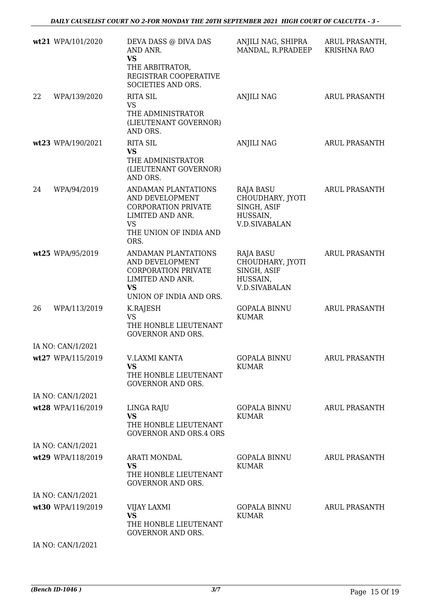*DAILY CAUSELIST COURT NO 2-FOR MONDAY THE 20TH SEPTEMBER 2021 HIGH COURT OF CALCUTTA - 3 -* 

|    | wt21 WPA/101/2020 | DEVA DASS @ DIVA DAS<br>AND ANR.<br><b>VS</b><br>THE ARBITRATOR,<br>REGISTRAR COOPERATIVE<br>SOCIETIES AND ORS.                         | ANJILI NAG, SHIPRA<br>MANDAL, R.PRADEEP                                                 | ARUL PRASANTH,<br><b>KRISHNA RAO</b> |
|----|-------------------|-----------------------------------------------------------------------------------------------------------------------------------------|-----------------------------------------------------------------------------------------|--------------------------------------|
| 22 | WPA/139/2020      | <b>RITA SIL</b><br>VS<br>THE ADMINISTRATOR<br>(LIEUTENANT GOVERNOR)<br>AND ORS.                                                         | <b>ANJILI NAG</b>                                                                       | <b>ARUL PRASANTH</b>                 |
|    | wt23 WPA/190/2021 | <b>RITA SIL</b><br><b>VS</b><br>THE ADMINISTRATOR<br>(LIEUTENANT GOVERNOR)<br>AND ORS.                                                  | <b>ANJILI NAG</b>                                                                       | ARUL PRASANTH                        |
| 24 | WPA/94/2019       | ANDAMAN PLANTATIONS<br>AND DEVELOPMENT<br><b>CORPORATION PRIVATE</b><br>LIMITED AND ANR.<br><b>VS</b><br>THE UNION OF INDIA AND<br>ORS. | <b>RAJA BASU</b><br>CHOUDHARY, JYOTI<br>SINGH, ASIF<br>HUSSAIN,<br><b>V.D.SIVABALAN</b> | <b>ARUL PRASANTH</b>                 |
|    | wt25 WPA/95/2019  | ANDAMAN PLANTATIONS<br>AND DEVELOPMENT<br><b>CORPORATION PRIVATE</b><br>LIMITED AND ANR.<br><b>VS</b><br>UNION OF INDIA AND ORS.        | <b>RAJA BASU</b><br>CHOUDHARY, JYOTI<br>SINGH, ASIF<br>HUSSAIN,<br><b>V.D.SIVABALAN</b> | <b>ARUL PRASANTH</b>                 |
| 26 | WPA/113/2019      | K.RAJESH<br><b>VS</b><br>THE HONBLE LIEUTENANT<br><b>GOVERNOR AND ORS.</b>                                                              | <b>GOPALA BINNU</b><br><b>KUMAR</b>                                                     | ARUL PRASANTH                        |
|    | IA NO: CAN/1/2021 |                                                                                                                                         |                                                                                         |                                      |
|    | wt27 WPA/115/2019 | V.LAXMI KANTA<br>VS.<br>THE HONBLE LIEUTENANT<br><b>GOVERNOR AND ORS.</b>                                                               | <b>GOPALA BINNU</b><br>KUMAR                                                            | ARUL PRASANTH                        |
|    | IA NO: CAN/1/2021 |                                                                                                                                         |                                                                                         |                                      |
|    | wt28 WPA/116/2019 | LINGA RAJU<br><b>VS</b><br>THE HONBLE LIEUTENANT<br><b>GOVERNOR AND ORS.4 ORS</b>                                                       | GOPALA BINNU<br><b>KUMAR</b>                                                            | <b>ARUL PRASANTH</b>                 |
|    | IA NO: CAN/1/2021 |                                                                                                                                         |                                                                                         |                                      |
|    | wt29 WPA/118/2019 | <b>ARATI MONDAL</b><br><b>VS</b><br>THE HONBLE LIEUTENANT<br><b>GOVERNOR AND ORS.</b>                                                   | GOPALA BINNU<br><b>KUMAR</b>                                                            | ARUL PRASANTH                        |
|    | IA NO: CAN/1/2021 |                                                                                                                                         |                                                                                         |                                      |
|    | wt30 WPA/119/2019 | <b>VIJAY LAXMI</b><br><b>VS</b><br>THE HONBLE LIEUTENANT<br><b>GOVERNOR AND ORS.</b>                                                    | GOPALA BINNU<br><b>KUMAR</b>                                                            | ARUL PRASANTH                        |
|    | IA NO: CAN/1/2021 |                                                                                                                                         |                                                                                         |                                      |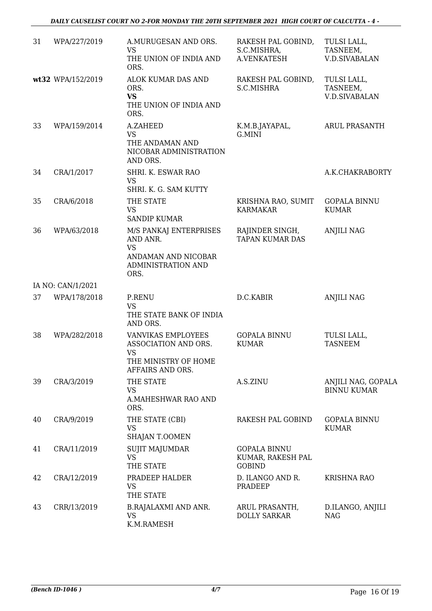#### *DAILY CAUSELIST COURT NO 2-FOR MONDAY THE 20TH SEPTEMBER 2021 HIGH COURT OF CALCUTTA - 4 -*

| 31 | WPA/227/2019      | A.MURUGESAN AND ORS.<br><b>VS</b><br>THE UNION OF INDIA AND<br>ORS.                                        | RAKESH PAL GOBIND,<br>S.C.MISHRA,<br>A.VENKATESH          | TULSI LALL,<br>TASNEEM,<br><b>V.D.SIVABALAN</b> |
|----|-------------------|------------------------------------------------------------------------------------------------------------|-----------------------------------------------------------|-------------------------------------------------|
|    | wt32 WPA/152/2019 | <b>ALOK KUMAR DAS AND</b><br>ORS.<br><b>VS</b><br>THE UNION OF INDIA AND<br>ORS.                           | RAKESH PAL GOBIND,<br>S.C.MISHRA                          | TULSI LALL,<br>TASNEEM,<br><b>V.D.SIVABALAN</b> |
| 33 | WPA/159/2014      | A.ZAHEED<br><b>VS</b><br>THE ANDAMAN AND<br>NICOBAR ADMINISTRATION<br>AND ORS.                             | K.M.B.JAYAPAL,<br>G.MINI                                  | <b>ARUL PRASANTH</b>                            |
| 34 | CRA/1/2017        | SHRI. K. ESWAR RAO<br><b>VS</b><br>SHRI. K. G. SAM KUTTY                                                   |                                                           | A.K.CHAKRABORTY                                 |
| 35 | CRA/6/2018        | THE STATE<br><b>VS</b><br><b>SANDIP KUMAR</b>                                                              | KRISHNA RAO, SUMIT<br><b>KARMAKAR</b>                     | <b>GOPALA BINNU</b><br><b>KUMAR</b>             |
| 36 | WPA/63/2018       | M/S PANKAJ ENTERPRISES<br>AND ANR.<br><b>VS</b><br>ANDAMAN AND NICOBAR<br>ADMINISTRATION AND<br>ORS.       | RAJINDER SINGH,<br><b>TAPAN KUMAR DAS</b>                 | <b>ANJILI NAG</b>                               |
|    | IA NO: CAN/1/2021 |                                                                                                            |                                                           |                                                 |
| 37 | WPA/178/2018      | <b>P.RENU</b><br><b>VS</b><br>THE STATE BANK OF INDIA<br>AND ORS.                                          | D.C.KABIR                                                 | <b>ANJILI NAG</b>                               |
| 38 | WPA/282/2018      | <b>VANVIKAS EMPLOYEES</b><br>ASSOCIATION AND ORS.<br><b>VS</b><br>THE MINISTRY OF HOME<br>AFFAIRS AND ORS. | <b>GOPALA BINNU</b><br><b>KUMAR</b>                       | TULSI LALL,<br><b>TASNEEM</b>                   |
| 39 | CRA/3/2019        | THE STATE<br><b>VS</b><br>A.MAHESHWAR RAO AND<br>ORS.                                                      | A.S.ZINU                                                  | ANJILI NAG, GOPALA<br><b>BINNU KUMAR</b>        |
| 40 | CRA/9/2019        | THE STATE (CBI)<br><b>VS</b><br>SHAJAN T.OOMEN                                                             | RAKESH PAL GOBIND                                         | <b>GOPALA BINNU</b><br><b>KUMAR</b>             |
| 41 | CRA/11/2019       | <b>SUJIT MAJUMDAR</b><br><b>VS</b><br>THE STATE                                                            | <b>GOPALA BINNU</b><br>KUMAR, RAKESH PAL<br><b>GOBIND</b> |                                                 |
| 42 | CRA/12/2019       | PRADEEP HALDER<br>VS<br>THE STATE                                                                          | D. ILANGO AND R.<br>PRADEEP                               | <b>KRISHNA RAO</b>                              |
| 43 | CRR/13/2019       | <b>B.RAJALAXMI AND ANR.</b><br><b>VS</b><br>K.M.RAMESH                                                     | ARUL PRASANTH,<br><b>DOLLY SARKAR</b>                     | D.ILANGO, ANJILI<br><b>NAG</b>                  |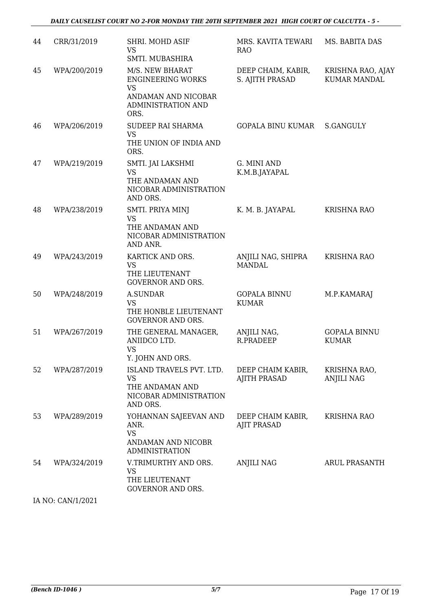| 44 | CRR/31/2019  | SHRI. MOHD ASIF<br><b>VS</b><br>SMTI. MUBASHIRA                                                               | MRS. KAVITA TEWARI<br><b>RAO</b>         | MS. BABITA DAS                           |
|----|--------------|---------------------------------------------------------------------------------------------------------------|------------------------------------------|------------------------------------------|
| 45 | WPA/200/2019 | M/S. NEW BHARAT<br><b>ENGINEERING WORKS</b><br><b>VS</b><br>ANDAMAN AND NICOBAR<br>ADMINISTRATION AND<br>ORS. | DEEP CHAIM, KABIR,<br>S. AJITH PRASAD    | KRISHNA RAO, AJAY<br><b>KUMAR MANDAL</b> |
| 46 | WPA/206/2019 | SUDEEP RAI SHARMA<br><b>VS</b><br>THE UNION OF INDIA AND<br>ORS.                                              | <b>GOPALA BINU KUMAR</b>                 | S.GANGULY                                |
| 47 | WPA/219/2019 | SMTI. JAI LAKSHMI<br><b>VS</b><br>THE ANDAMAN AND<br>NICOBAR ADMINISTRATION<br>AND ORS.                       | G. MINI AND<br>K.M.B.JAYAPAL             |                                          |
| 48 | WPA/238/2019 | SMTI. PRIYA MINJ<br><b>VS</b><br>THE ANDAMAN AND<br>NICOBAR ADMINISTRATION<br>AND ANR.                        | K. M. B. JAYAPAL                         | <b>KRISHNA RAO</b>                       |
| 49 | WPA/243/2019 | KARTICK AND ORS.<br><b>VS</b><br>THE LIEUTENANT<br><b>GOVERNOR AND ORS.</b>                                   | ANJILI NAG, SHIPRA<br><b>MANDAL</b>      | <b>KRISHNA RAO</b>                       |
| 50 | WPA/248/2019 | <b>A.SUNDAR</b><br><b>VS</b><br>THE HONBLE LIEUTENANT<br><b>GOVERNOR AND ORS.</b>                             | <b>GOPALA BINNU</b><br><b>KUMAR</b>      | M.P.KAMARAJ                              |
| 51 | WPA/267/2019 | THE GENERAL MANAGER,<br>ANIIDCO LTD.<br><b>VS</b><br>Y. JOHN AND ORS.                                         | ANJILI NAG,<br><b>R.PRADEEP</b>          | <b>GOPALA BINNU</b><br><b>KUMAR</b>      |
| 52 | WPA/287/2019 | ISLAND TRAVELS PVT. LTD.<br><b>VS</b><br>THE ANDAMAN AND<br>NICOBAR ADMINISTRATION<br>AND ORS.                | DEEP CHAIM KABIR,<br><b>AJITH PRASAD</b> | KRISHNA RAO,<br><b>ANJILI NAG</b>        |
| 53 | WPA/289/2019 | YOHANNAN SAJEEVAN AND<br>ANR.<br><b>VS</b><br>ANDAMAN AND NICOBR<br><b>ADMINISTRATION</b>                     | DEEP CHAIM KABIR,<br><b>AJIT PRASAD</b>  | <b>KRISHNA RAO</b>                       |
| 54 | WPA/324/2019 | V.TRIMURTHY AND ORS.<br><b>VS</b><br>THE LIEUTENANT<br><b>GOVERNOR AND ORS.</b>                               | ANJILI NAG                               | <b>ARUL PRASANTH</b>                     |

IA NO: CAN/1/2021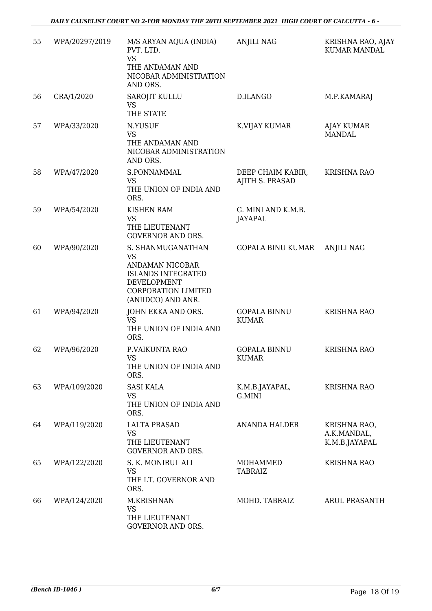| 55 | WPA/20297/2019 | M/S ARYAN AQUA (INDIA)<br>PVT. LTD.<br><b>VS</b><br>THE ANDAMAN AND<br>NICOBAR ADMINISTRATION<br>AND ORS.                                  | <b>ANJILI NAG</b>                    | KRISHNA RAO, AJAY<br><b>KUMAR MANDAL</b>     |
|----|----------------|--------------------------------------------------------------------------------------------------------------------------------------------|--------------------------------------|----------------------------------------------|
| 56 | CRA/1/2020     | SAROJIT KULLU<br><b>VS</b><br>THE STATE                                                                                                    | D.ILANGO                             | M.P.KAMARAJ                                  |
| 57 | WPA/33/2020    | N.YUSUF<br><b>VS</b><br>THE ANDAMAN AND<br>NICOBAR ADMINISTRATION<br>AND ORS.                                                              | K.VIJAY KUMAR                        | AJAY KUMAR<br><b>MANDAL</b>                  |
| 58 | WPA/47/2020    | S.PONNAMMAL<br>VS<br>THE UNION OF INDIA AND<br>ORS.                                                                                        | DEEP CHAIM KABIR,<br>AJITH S. PRASAD | <b>KRISHNA RAO</b>                           |
| 59 | WPA/54/2020    | <b>KISHEN RAM</b><br><b>VS</b><br>THE LIEUTENANT<br><b>GOVERNOR AND ORS.</b>                                                               | G. MINI AND K.M.B.<br>JAYAPAL        |                                              |
| 60 | WPA/90/2020    | S. SHANMUGANATHAN<br><b>VS</b><br>ANDAMAN NICOBAR<br><b>ISLANDS INTEGRATED</b><br>DEVELOPMENT<br>CORPORATION LIMITED<br>(ANIIDCO) AND ANR. | GOPALA BINU KUMAR                    | <b>ANJILI NAG</b>                            |
| 61 | WPA/94/2020    | JOHN EKKA AND ORS.<br><b>VS</b><br>THE UNION OF INDIA AND<br>ORS.                                                                          | <b>GOPALA BINNU</b><br><b>KUMAR</b>  | <b>KRISHNA RAO</b>                           |
| 62 | WPA/96/2020    | P.VAIKUNTA RAO<br><b>VS</b><br>THE UNION OF INDIA AND<br>ORS.                                                                              | <b>GOPALA BINNU</b><br><b>KUMAR</b>  | <b>KRISHNA RAO</b>                           |
| 63 | WPA/109/2020   | <b>SASI KALA</b><br><b>VS</b><br>THE UNION OF INDIA AND<br>ORS.                                                                            | K.M.B.JAYAPAL,<br>G.MINI             | <b>KRISHNA RAO</b>                           |
| 64 | WPA/119/2020   | <b>LALTA PRASAD</b><br><b>VS</b><br>THE LIEUTENANT<br><b>GOVERNOR AND ORS.</b>                                                             | <b>ANANDA HALDER</b>                 | KRISHNA RAO,<br>A.K.MANDAL,<br>K.M.B.JAYAPAL |
| 65 | WPA/122/2020   | S. K. MONIRUL ALI<br><b>VS</b><br>THE LT. GOVERNOR AND<br>ORS.                                                                             | MOHAMMED<br>TABRAIZ                  | <b>KRISHNA RAO</b>                           |
| 66 | WPA/124/2020   | M.KRISHNAN<br><b>VS</b><br>THE LIEUTENANT<br>GOVERNOR AND ORS.                                                                             | MOHD. TABRAIZ                        | <b>ARUL PRASANTH</b>                         |